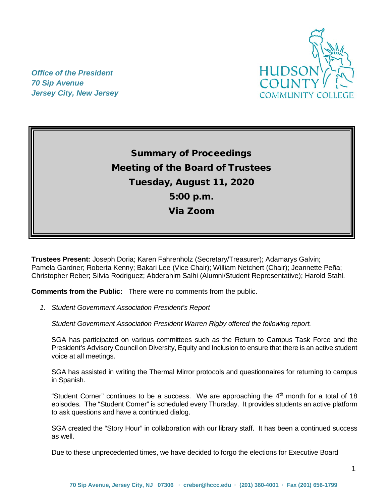

*Office of the President 70 Sip Avenue Jersey City, New Jersey*

> Summary of Proceedings Meeting of the Board of Trustees Tuesday, August 11, 2020 5:00 p.m. Via Zoom

**Trustees Present:** Joseph Doria; Karen Fahrenholz (Secretary/Treasurer); Adamarys Galvin; Pamela Gardner; Roberta Kenny; Bakari Lee (Vice Chair); William Netchert (Chair); Jeannette Peña; Christopher Reber; Silvia Rodriguez; Abderahim Salhi (Alumni/Student Representative); Harold Stahl.

**Comments from the Public:** There were no comments from the public.

*1. Student Government Association President's Report* 

*Student Government Association President Warren Rigby offered the following report.*

SGA has participated on various committees such as the Return to Campus Task Force and the President's Advisory Council on Diversity, Equity and Inclusion to ensure that there is an active student voice at all meetings.

SGA has assisted in writing the Thermal Mirror protocols and questionnaires for returning to campus in Spanish.

"Student Corner" continues to be a success. We are approaching the  $4<sup>th</sup>$  month for a total of 18 episodes. The "Student Corner" is scheduled every Thursday. It provides students an active platform to ask questions and have a continued dialog.

SGA created the "Story Hour" in collaboration with our library staff. It has been a continued success as well.

Due to these unprecedented times, we have decided to forgo the elections for Executive Board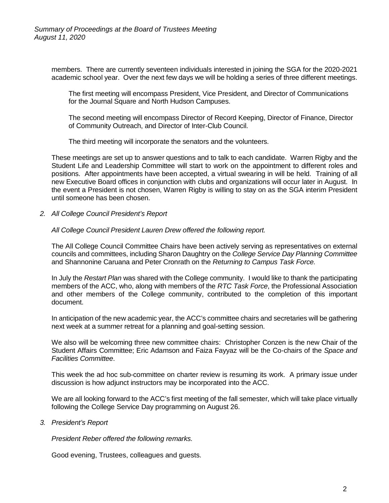members. There are currently seventeen individuals interested in joining the SGA for the 2020-2021 academic school year. Over the next few days we will be holding a series of three different meetings.

The first meeting will encompass President, Vice President, and Director of Communications for the Journal Square and North Hudson Campuses.

The second meeting will encompass Director of Record Keeping, Director of Finance, Director of Community Outreach, and Director of Inter-Club Council.

The third meeting will incorporate the senators and the volunteers.

These meetings are set up to answer questions and to talk to each candidate. Warren Rigby and the Student Life and Leadership Committee will start to work on the appointment to different roles and positions. After appointments have been accepted, a virtual swearing in will be held. Training of all new Executive Board offices in conjunction with clubs and organizations will occur later in August. In the event a President is not chosen, Warren Rigby is willing to stay on as the SGA interim President until someone has been chosen.

*2. All College Council President's Report* 

## *All College Council President Lauren Drew offered the following report.*

The All College Council Committee Chairs have been actively serving as representatives on external councils and committees, including Sharon Daughtry on the *College Service Day Planning Committee* and Shannonine Caruana and Peter Cronrath on the *Returning to Campus Task Force.*

In July the *Restart Plan* was shared with the College community. I would like to thank the participating members of the ACC, who, along with members of the *RTC Task Force*, the Professional Association and other members of the College community, contributed to the completion of this important document.

In anticipation of the new academic year, the ACC's committee chairs and secretaries will be gathering next week at a summer retreat for a planning and goal-setting session.

We also will be welcoming three new committee chairs: Christopher Conzen is the new Chair of the Student Affairs Committee; Eric Adamson and Faiza Fayyaz will be the Co-chairs of the *Space and Facilities Committee*.

This week the ad hoc sub-committee on charter review is resuming its work. A primary issue under discussion is how adjunct instructors may be incorporated into the ACC.

We are all looking forward to the ACC's first meeting of the fall semester, which will take place virtually following the College Service Day programming on August 26.

*3. President's Report*

*President Reber offered the following remarks.*

Good evening, Trustees, colleagues and guests.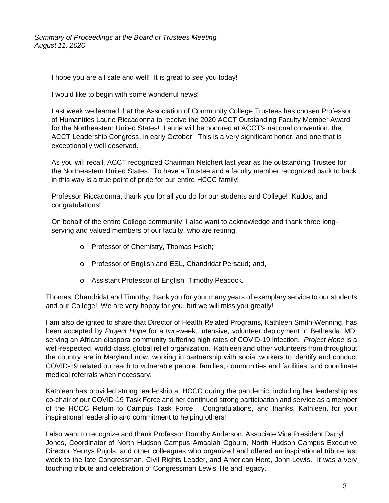I hope you are all safe and well! It is great to *see* you today!

I would like to begin with some wonderful news!

Last week we learned that the Association of Community College Trustees has chosen Professor of Humanities Laurie Riccadonna to receive the 2020 ACCT Outstanding Faculty Member Award for the Northeastern United States! Laurie will be honored at ACCT's national convention, the ACCT Leadership Congress, in early October. This is a very significant honor, and one that is exceptionally well deserved.

As you will recall, ACCT recognized Chairman Netchert last year as the outstanding Trustee for the Northeastern United States. To have a Trustee and a faculty member recognized back to back in this way is a true point of pride for our entire HCCC family!

Professor Riccadonna, thank you for all you do for our students and College! Kudos, and congratulations!

On behalf of the entire College community, I also want to acknowledge and thank three longserving and valued members of our faculty, who are retiring.

- o Professor of Chemistry, Thomas Hsieh;
- o Professor of English and ESL, Chandridat Persaud; and,
- o Assistant Professor of English, Timothy Peacock.

Thomas, Chandridat and Timothy, thank you for your many years of exemplary service to our students and our College! We are very happy for you, but we will miss you greatly!

I am also delighted to share that Director of Health Related Programs, Kathleen Smith-Wenning, has been accepted by *Project Hope* for a two-week, intensive, volunteer deployment in Bethesda, MD, serving an African diaspora community suffering high rates of COVID-19 infection. *Project Hope* is a well-respected, world-class, global relief organization. Kathleen and other volunteers from throughout the country are in Maryland now, working in partnership with social workers to identify and conduct COVID-19 related outreach to vulnerable people, families, communities and facilities, and coordinate medical referrals when necessary.

Kathleen has provided strong leadership at HCCC during the pandemic, including her leadership as co-chair of our COVID-19 Task Force and her continued strong participation and service as a member of the HCCC Return to Campus Task Force. Congratulations, and thanks, Kathleen, for your inspirational leadership and commitment to helping others!

I also want to recognize and thank Professor Dorothy Anderson, Associate Vice President Darryl Jones, Coordinator of North Hudson Campus Amaalah Ogburn, North Hudson Campus Executive Director Yeurys Pujols, and other colleagues who organized and offered an inspirational tribute last week to the late Congressman, Civil Rights Leader, and American Hero, John Lewis. It was a very touching tribute and celebration of Congressman Lewis' life and legacy.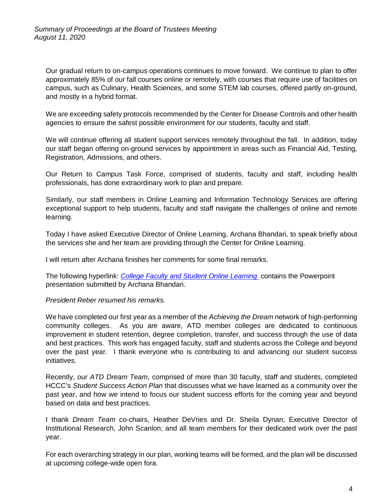Our gradual return to on-campus operations continues to move forward. We continue to plan to offer approximately 85% of our fall courses online or remotely, with courses that require use of facilities on campus, such as Culinary, Health Sciences, and some STEM lab courses, offered partly on-ground, and mostly in a hybrid format.

We are exceeding safety protocols recommended by the Center for Disease Controls and other health agencies to ensure the safest possible environment for our students, faculty and staff.

We will continue offering all student support services remotely throughout the fall. In addition, today our staff began offering on-ground services by appointment in areas such as Financial Aid, Testing, Registration, Admissions, and others.

Our Return to Campus Task Force, comprised of students, faculty and staff, including health professionals, has done extraordinary work to plan and prepare.

Similarly, our staff members in Online Learning and Information Technology Services are offering exceptional support to help students, faculty and staff navigate the challenges of online and remote learning.

Today I have asked Executive Director of Online Learning, Archana Bhandari, to speak briefly about the services she and her team are providing through the Center for Online Learning.

I will return after Archana finishes her comments for some final remarks.

The following hyperlink: *[College Faculty and Student](https://myhudson.hccc.edu/president/PowerPoint/HCCC%20Board%20Meeting%20Presentation%20August%202020%20handout.pdf) Online Learning* contains the Powerpoint presentation submitted by Archana Bhandari.

## *President Reber resumed his remarks.*

We have completed our first year as a member of the *Achieving the Dream* network of high-performing community colleges. As you are aware, ATD member colleges are dedicated to continuous improvement in student retention, degree completion, transfer, and success through the use of data and best practices. This work has engaged faculty, staff and students across the College and beyond over the past year. I thank everyone who is contributing to and advancing our student success initiatives.

Recently, our *ATD Dream Team*, comprised of more than 30 faculty, staff and students, completed HCCC's *Student Success Action Plan* that discusses what we have learned as a community over the past year, and how we intend to focus our student success efforts for the coming year and beyond based on data and best practices.

I thank *Dream Team* co-chairs, Heather DeVries and Dr. Sheila Dynan; Executive Director of Institutional Research, John Scanlon; and all team members for their dedicated work over the past year.

For each overarching strategy in our plan, working teams will be formed, and the plan will be discussed at upcoming college-wide open fora.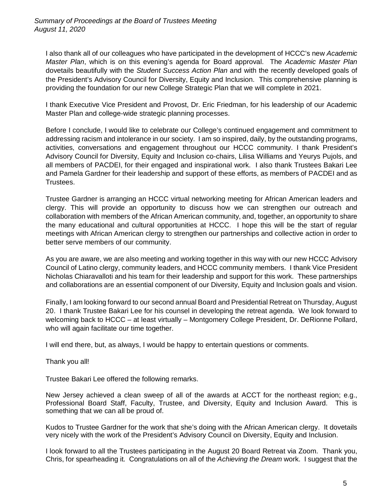I also thank all of our colleagues who have participated in the development of HCCC's new *Academic Master Plan*, which is on this evening's agenda for Board approval. The *Academic Master Plan* dovetails beautifully with the *Student Success Action Plan* and with the recently developed goals of the President's Advisory Council for Diversity, Equity and Inclusion. This comprehensive planning is providing the foundation for our new College Strategic Plan that we will complete in 2021.

I thank Executive Vice President and Provost, Dr. Eric Friedman, for his leadership of our Academic Master Plan and college-wide strategic planning processes.

Before I conclude, I would like to celebrate our College's continued engagement and commitment to addressing racism and intolerance in our society. I am so inspired, daily, by the outstanding programs, activities, conversations and engagement throughout our HCCC community. I thank President's Advisory Council for Diversity, Equity and Inclusion co-chairs, Lilisa Williams and Yeurys Pujols, and all members of PACDEI, for their engaged and inspirational work. I also thank Trustees Bakari Lee and Pamela Gardner for their leadership and support of these efforts, as members of PACDEI and as Trustees.

Trustee Gardner is arranging an HCCC virtual networking meeting for African American leaders and clergy. This will provide an opportunity to discuss how we can strengthen our outreach and collaboration with members of the African American community, and, together, an opportunity to share the many educational and cultural opportunities at HCCC. I hope this will be the start of regular meetings with African American clergy to strengthen our partnerships and collective action in order to better serve members of our community.

As you are aware, we are also meeting and working together in this way with our new HCCC Advisory Council of Latino clergy, community leaders, and HCCC community members. I thank Vice President Nicholas Chiaravalloti and his team for their leadership and support for this work. These partnerships and collaborations are an essential component of our Diversity, Equity and Inclusion goals and vision.

Finally, I am looking forward to our second annual Board and Presidential Retreat on Thursday, August 20. I thank Trustee Bakari Lee for his counsel in developing the retreat agenda. We look forward to welcoming back to HCCC – at least virtually – Montgomery College President, Dr. DeRionne Pollard, who will again facilitate our time together.

I will end there, but, as always, I would be happy to entertain questions or comments.

Thank you all!

Trustee Bakari Lee offered the following remarks.

New Jersey achieved a clean sweep of all of the awards at ACCT for the northeast region; e.g., Professional Board Staff, Faculty, Trustee, and Diversity, Equity and Inclusion Award. This is something that we can all be proud of.

Kudos to Trustee Gardner for the work that she's doing with the African American clergy. It dovetails very nicely with the work of the President's Advisory Council on Diversity, Equity and Inclusion.

I look forward to all the Trustees participating in the August 20 Board Retreat via Zoom. Thank you, Chris, for spearheading it. Congratulations on all of the *Achieving the Dream* work. I suggest that the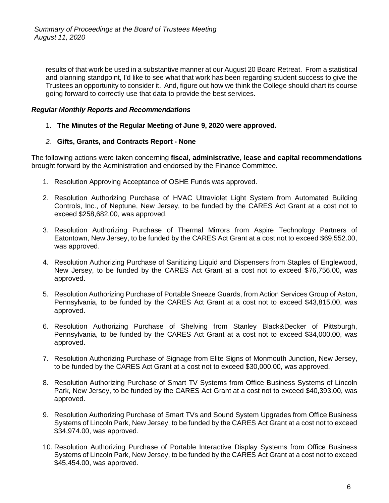results of that work be used in a substantive manner at our August 20 Board Retreat. From a statistical and planning standpoint, I'd like to see what that work has been regarding student success to give the Trustees an opportunity to consider it. And, figure out how we think the College should chart its course going forward to correctly use that data to provide the best services.

## *Regular Monthly Reports and Recommendations*

1. **The Minutes of the Regular Meeting of June 9, 2020 were approved.**

## *2.* **Gifts, Grants, and Contracts Report - None**

The following actions were taken concerning **fiscal, administrative, lease and capital recommendations** brought forward by the Administration and endorsed by the Finance Committee.

- 1. Resolution Approving Acceptance of OSHE Funds was approved.
- 2. Resolution Authorizing Purchase of HVAC Ultraviolet Light System from Automated Building Controls, Inc., of Neptune, New Jersey, to be funded by the CARES Act Grant at a cost not to exceed \$258,682.00, was approved.
- 3. Resolution Authorizing Purchase of Thermal Mirrors from Aspire Technology Partners of Eatontown, New Jersey, to be funded by the CARES Act Grant at a cost not to exceed \$69,552.00, was approved.
- 4. Resolution Authorizing Purchase of Sanitizing Liquid and Dispensers from Staples of Englewood, New Jersey, to be funded by the CARES Act Grant at a cost not to exceed \$76,756.00, was approved.
- 5. Resolution Authorizing Purchase of Portable Sneeze Guards, from Action Services Group of Aston, Pennsylvania, to be funded by the CARES Act Grant at a cost not to exceed \$43,815.00, was approved.
- 6. Resolution Authorizing Purchase of Shelving from Stanley Black&Decker of Pittsburgh, Pennsylvania, to be funded by the CARES Act Grant at a cost not to exceed \$34,000.00, was approved.
- 7. Resolution Authorizing Purchase of Signage from Elite Signs of Monmouth Junction, New Jersey, to be funded by the CARES Act Grant at a cost not to exceed \$30,000.00, was approved.
- 8. Resolution Authorizing Purchase of Smart TV Systems from Office Business Systems of Lincoln Park, New Jersey, to be funded by the CARES Act Grant at a cost not to exceed \$40,393.00, was approved.
- 9. Resolution Authorizing Purchase of Smart TVs and Sound System Upgrades from Office Business Systems of Lincoln Park, New Jersey, to be funded by the CARES Act Grant at a cost not to exceed \$34,974.00, was approved.
- 10. Resolution Authorizing Purchase of Portable Interactive Display Systems from Office Business Systems of Lincoln Park, New Jersey, to be funded by the CARES Act Grant at a cost not to exceed \$45,454.00, was approved.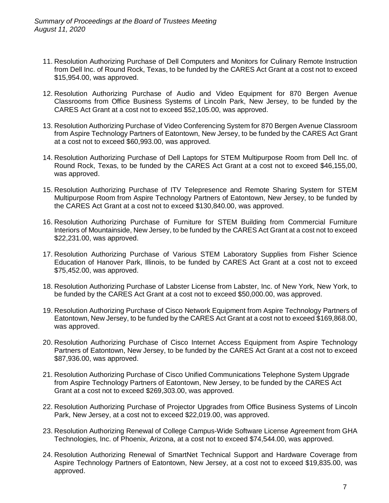- 11. Resolution Authorizing Purchase of Dell Computers and Monitors for Culinary Remote Instruction from Dell Inc. of Round Rock, Texas, to be funded by the CARES Act Grant at a cost not to exceed \$15,954.00, was approved.
- 12. Resolution Authorizing Purchase of Audio and Video Equipment for 870 Bergen Avenue Classrooms from Office Business Systems of Lincoln Park, New Jersey, to be funded by the CARES Act Grant at a cost not to exceed \$52,105.00, was approved.
- 13. Resolution Authorizing Purchase of Video Conferencing System for 870 Bergen Avenue Classroom from Aspire Technology Partners of Eatontown, New Jersey, to be funded by the CARES Act Grant at a cost not to exceed \$60,993.00, was approved.
- 14. Resolution Authorizing Purchase of Dell Laptops for STEM Multipurpose Room from Dell Inc. of Round Rock, Texas, to be funded by the CARES Act Grant at a cost not to exceed \$46,155,00, was approved.
- 15. Resolution Authorizing Purchase of ITV Telepresence and Remote Sharing System for STEM Multipurpose Room from Aspire Technology Partners of Eatontown, New Jersey, to be funded by the CARES Act Grant at a cost not to exceed \$130,840.00, was approved.
- 16. Resolution Authorizing Purchase of Furniture for STEM Building from Commercial Furniture Interiors of Mountainside, New Jersey, to be funded by the CARES Act Grant at a cost not to exceed \$22,231.00, was approved.
- 17. Resolution Authorizing Purchase of Various STEM Laboratory Supplies from Fisher Science Education of Hanover Park, Illinois, to be funded by CARES Act Grant at a cost not to exceed \$75,452.00, was approved.
- 18. Resolution Authorizing Purchase of Labster License from Labster, Inc. of New York, New York, to be funded by the CARES Act Grant at a cost not to exceed \$50,000.00, was approved.
- 19. Resolution Authorizing Purchase of Cisco Network Equipment from Aspire Technology Partners of Eatontown, New Jersey, to be funded by the CARES Act Grant at a cost not to exceed \$169,868.00, was approved.
- 20. Resolution Authorizing Purchase of Cisco Internet Access Equipment from Aspire Technology Partners of Eatontown, New Jersey, to be funded by the CARES Act Grant at a cost not to exceed \$87,936.00, was approved.
- 21. Resolution Authorizing Purchase of Cisco Unified Communications Telephone System Upgrade from Aspire Technology Partners of Eatontown, New Jersey, to be funded by the CARES Act Grant at a cost not to exceed \$269,303.00, was approved.
- 22. Resolution Authorizing Purchase of Projector Upgrades from Office Business Systems of Lincoln Park, New Jersey, at a cost not to exceed \$22,019.00, was approved.
- 23. Resolution Authorizing Renewal of College Campus-Wide Software License Agreement from GHA Technologies, Inc. of Phoenix, Arizona, at a cost not to exceed \$74,544.00, was approved.
- 24. Resolution Authorizing Renewal of SmartNet Technical Support and Hardware Coverage from Aspire Technology Partners of Eatontown, New Jersey, at a cost not to exceed \$19,835.00, was approved.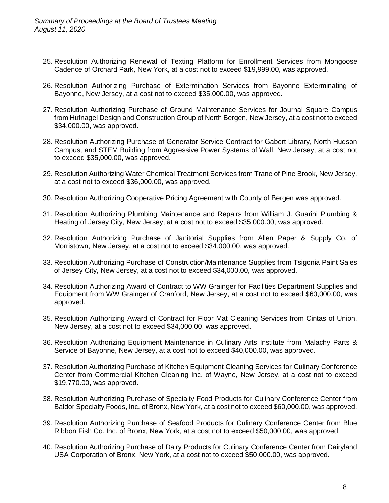- 25. Resolution Authorizing Renewal of Texting Platform for Enrollment Services from Mongoose Cadence of Orchard Park, New York, at a cost not to exceed \$19,999.00, was approved.
- 26. Resolution Authorizing Purchase of Extermination Services from Bayonne Exterminating of Bayonne, New Jersey, at a cost not to exceed \$35,000.00, was approved.
- 27. Resolution Authorizing Purchase of Ground Maintenance Services for Journal Square Campus from Hufnagel Design and Construction Group of North Bergen, New Jersey, at a cost not to exceed \$34,000.00, was approved.
- 28. Resolution Authorizing Purchase of Generator Service Contract for Gabert Library, North Hudson Campus, and STEM Building from Aggressive Power Systems of Wall, New Jersey, at a cost not to exceed \$35,000.00, was approved.
- 29. Resolution Authorizing Water Chemical Treatment Services from Trane of Pine Brook, New Jersey, at a cost not to exceed \$36,000.00, was approved.
- 30. Resolution Authorizing Cooperative Pricing Agreement with County of Bergen was approved.
- 31. Resolution Authorizing Plumbing Maintenance and Repairs from William J. Guarini Plumbing & Heating of Jersey City, New Jersey, at a cost not to exceed \$35,000.00, was approved.
- 32. Resolution Authorizing Purchase of Janitorial Supplies from Allen Paper & Supply Co. of Morristown, New Jersey, at a cost not to exceed \$34,000.00, was approved.
- 33. Resolution Authorizing Purchase of Construction/Maintenance Supplies from Tsigonia Paint Sales of Jersey City, New Jersey, at a cost not to exceed \$34,000.00, was approved.
- 34. Resolution Authorizing Award of Contract to WW Grainger for Facilities Department Supplies and Equipment from WW Grainger of Cranford, New Jersey, at a cost not to exceed \$60,000.00, was approved.
- 35. Resolution Authorizing Award of Contract for Floor Mat Cleaning Services from Cintas of Union, New Jersey, at a cost not to exceed \$34,000.00, was approved.
- 36. Resolution Authorizing Equipment Maintenance in Culinary Arts Institute from Malachy Parts & Service of Bayonne, New Jersey, at a cost not to exceed \$40,000.00, was approved.
- 37. Resolution Authorizing Purchase of Kitchen Equipment Cleaning Services for Culinary Conference Center from Commercial Kitchen Cleaning Inc. of Wayne, New Jersey, at a cost not to exceed \$19,770.00, was approved.
- 38. Resolution Authorizing Purchase of Specialty Food Products for Culinary Conference Center from Baldor Specialty Foods, Inc. of Bronx, New York, at a cost not to exceed \$60,000.00, was approved.
- 39. Resolution Authorizing Purchase of Seafood Products for Culinary Conference Center from Blue Ribbon Fish Co. Inc. of Bronx, New York, at a cost not to exceed \$50,000.00, was approved.
- 40. Resolution Authorizing Purchase of Dairy Products for Culinary Conference Center from Dairyland USA Corporation of Bronx, New York, at a cost not to exceed \$50,000.00, was approved.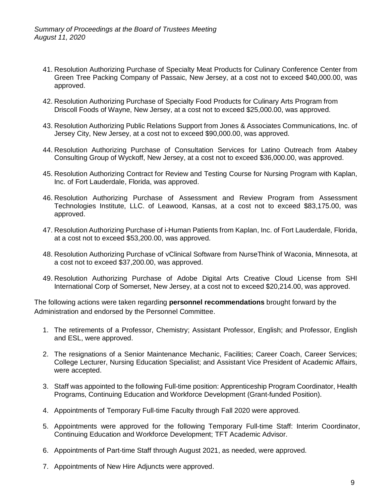- 41. Resolution Authorizing Purchase of Specialty Meat Products for Culinary Conference Center from Green Tree Packing Company of Passaic, New Jersey, at a cost not to exceed \$40,000.00, was approved.
- 42. Resolution Authorizing Purchase of Specialty Food Products for Culinary Arts Program from Driscoll Foods of Wayne, New Jersey, at a cost not to exceed \$25,000.00, was approved.
- 43. Resolution Authorizing Public Relations Support from Jones & Associates Communications, Inc. of Jersey City, New Jersey, at a cost not to exceed \$90,000.00, was approved.
- 44. Resolution Authorizing Purchase of Consultation Services for Latino Outreach from Atabey Consulting Group of Wyckoff, New Jersey, at a cost not to exceed \$36,000.00, was approved.
- 45. Resolution Authorizing Contract for Review and Testing Course for Nursing Program with Kaplan, Inc. of Fort Lauderdale, Florida, was approved.
- 46. Resolution Authorizing Purchase of Assessment and Review Program from Assessment Technologies Institute, LLC. of Leawood, Kansas, at a cost not to exceed \$83,175.00, was approved.
- 47. Resolution Authorizing Purchase of i-Human Patients from Kaplan, Inc. of Fort Lauderdale, Florida, at a cost not to exceed \$53,200.00, was approved.
- 48. Resolution Authorizing Purchase of vClinical Software from NurseThink of Waconia, Minnesota, at a cost not to exceed \$37,200.00, was approved.
- 49. Resolution Authorizing Purchase of Adobe Digital Arts Creative Cloud License from SHI International Corp of Somerset, New Jersey, at a cost not to exceed \$20,214.00, was approved.

The following actions were taken regarding **personnel recommendations** brought forward by the Administration and endorsed by the Personnel Committee.

- 1. The retirements of a Professor, Chemistry; Assistant Professor, English; and Professor, English and ESL, were approved.
- 2. The resignations of a Senior Maintenance Mechanic, Facilities; Career Coach, Career Services; College Lecturer, Nursing Education Specialist; and Assistant Vice President of Academic Affairs, were accepted.
- 3. Staff was appointed to the following Full-time position: Apprenticeship Program Coordinator, Health Programs, Continuing Education and Workforce Development (Grant-funded Position).
- 4. Appointments of Temporary Full-time Faculty through Fall 2020 were approved.
- 5. Appointments were approved for the following Temporary Full-time Staff: Interim Coordinator, Continuing Education and Workforce Development; TFT Academic Advisor.
- 6. Appointments of Part-time Staff through August 2021, as needed, were approved.
- 7. Appointments of New Hire Adjuncts were approved.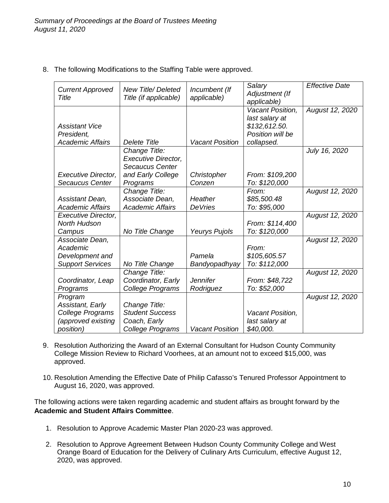8. The following Modifications to the Staffing Table were approved.

| <b>Current Approved</b><br><b>Title</b>                                                    | <b>New Title/Deleted</b><br>Title (if applicable)                                               | Incumbent (If<br>applicable) | Salary<br>Adjustment (If<br>applicable)                                               | <b>Effective Date</b> |
|--------------------------------------------------------------------------------------------|-------------------------------------------------------------------------------------------------|------------------------------|---------------------------------------------------------------------------------------|-----------------------|
| <b>Assistant Vice</b><br>President,<br><b>Academic Affairs</b>                             | <b>Delete Title</b>                                                                             | <b>Vacant Position</b>       | Vacant Position,<br>last salary at<br>\$132,612.50.<br>Position will be<br>collapsed. | August 12, 2020       |
| <b>Executive Director,</b><br>Secaucus Center                                              | Change Title:<br><b>Executive Director,</b><br>Secaucus Center<br>and Early College<br>Programs | Christopher<br>Conzen        | From: \$109,200<br>To: \$120,000                                                      | July 16, 2020         |
| Assistant Dean,<br><b>Academic Affairs</b>                                                 | Change Title:<br>Associate Dean,<br><b>Academic Affairs</b>                                     | Heather<br><b>DeVries</b>    | From:<br>\$85,500.48<br>To: \$95,000                                                  | August 12, 2020       |
| <b>Executive Director,</b><br>North Hudson<br>Campus                                       | No Title Change                                                                                 | Yeurys Pujols                | From: \$114,400<br>To: \$120,000                                                      | August 12, 2020       |
| Associate Dean,<br>Academic<br>Development and<br><b>Support Services</b>                  | No Title Change                                                                                 | Pamela<br>Bandyopadhyay      | From:<br>\$105,605.57<br>To: \$112,000                                                | August 12, 2020       |
| Coordinator, Leap<br>Programs                                                              | Change Title:<br>Coordinator, Early<br>College Programs                                         | <b>Jennifer</b><br>Rodriguez | From: \$48,722<br>To: \$52,000                                                        | August 12, 2020       |
| Program<br>Assistant, Early<br>College Programs<br>(approved existing<br><i>position</i> ) | Change Title:<br><b>Student Success</b><br>Coach, Early<br>College Programs                     | <b>Vacant Position</b>       | Vacant Position,<br>last salary at<br>\$40,000.                                       | August 12, 2020       |

- 9. Resolution Authorizing the Award of an External Consultant for Hudson County Community College Mission Review to Richard Voorhees, at an amount not to exceed \$15,000, was approved.
- 10. Resolution Amending the Effective Date of Philip Cafasso's Tenured Professor Appointment to August 16, 2020, was approved.

The following actions were taken regarding academic and student affairs as brought forward by the **Academic and Student Affairs Committee**.

- 1. Resolution to Approve Academic Master Plan 2020-23 was approved.
- 2. Resolution to Approve Agreement Between Hudson County Community College and West Orange Board of Education for the Delivery of Culinary Arts Curriculum, effective August 12, 2020, was approved.